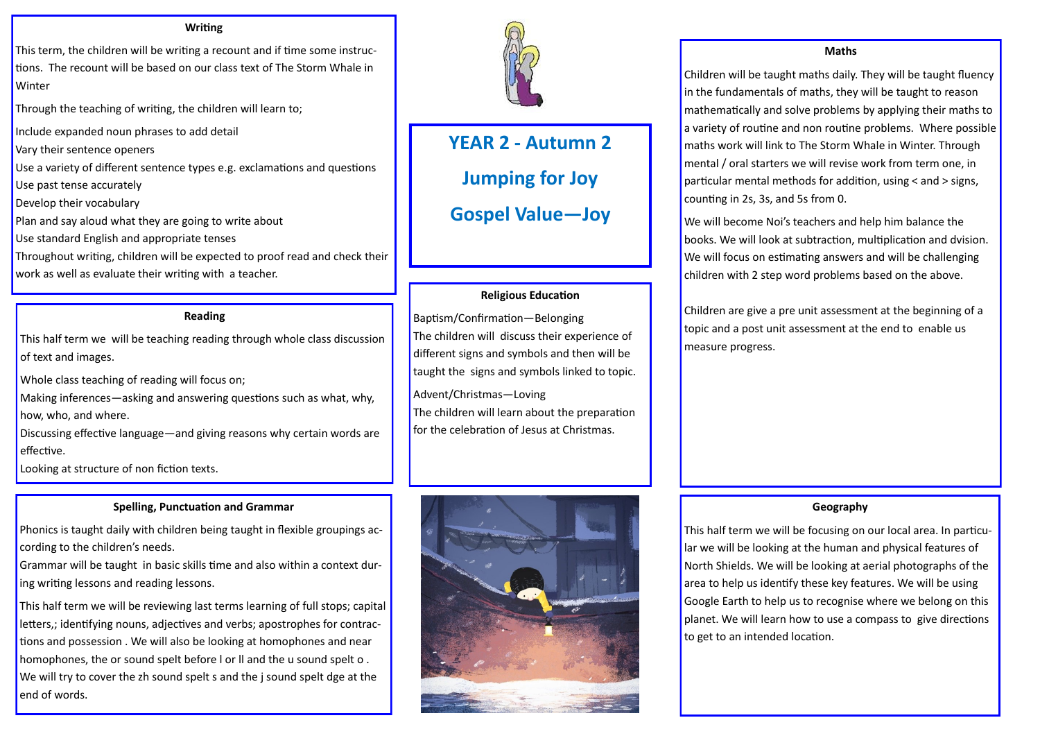# **YEAR 2 - Autumn 2 Jumping for Joy**

This term, the children will be writing a recount and if time some instructions. The recount will be based on our class text of The Storm Whale in **Winter** 

**Gospel Value—Joy**

#### **Writing**

Through the teaching of writing, the children will learn to;

Include expanded noun phrases to add detail

Vary their sentence openers

Use a variety of different sentence types e.g. exclamations and questions

Use past tense accurately

Develop their vocabulary

Plan and say aloud what they are going to write about

Use standard English and appropriate tenses

Throughout writing, children will be expected to proof read and check their work as well as evaluate their writing with a teacher.

# **Reading**

This half term we will be teaching reading through whole class discussion of text and images.

Whole class teaching of reading will focus on;

Making inferences—asking and answering questions such as what, why, how, who, and where.

Discussing effective language—and giving reasons why certain words are effective.

Looking at structure of non fiction texts.

# **Spelling, Punctuation and Grammar**

Phonics is taught daily with children being taught in flexible groupings according to the children's needs.

Grammar will be taught in basic skills time and also within a context during writing lessons and reading lessons.

We will become Noi's teachers and help him balance the books. We will look at subtraction, multiplication and dvision. We will focus on estimating answers and will be challenging children with 2 step word problems based on the above.

This half term we will be reviewing last terms learning of full stops; capital letters,; identifying nouns, adjectives and verbs; apostrophes for contractions and possession . We will also be looking at homophones and near homophones, the or sound spelt before l or ll and the u sound spelt o . We will try to cover the zh sound spelt s and the *j* sound spelt dge at the end of words.



# **Religious Education**

Baptism/Confirmation—Belonging The children will discuss their experience of different signs and symbols and then will be taught the signs and symbols linked to topic.

Advent/Christmas—Loving The children will learn about the preparation for the celebration of Jesus at Christmas.



#### **Maths**

Children will be taught maths daily. They will be taught fluency in the fundamentals of maths, they will be taught to reason mathematically and solve problems by applying their maths to a variety of routine and non routine problems. Where possible maths work will link to The Storm Whale in Winter. Through mental / oral starters we will revise work from term one, in particular mental methods for addition, using < and > signs, counting in 2s, 3s, and 5s from 0.

Children are give a pre unit assessment at the beginning of a topic and a post unit assessment at the end to enable us measure progress.

# **Geography**

This half term we will be focusing on our local area. In particular we will be looking at the human and physical features of North Shields. We will be looking at aerial photographs of the area to help us identify these key features. We will be using Google Earth to help us to recognise where we belong on this planet. We will learn how to use a compass to give directions to get to an intended location.